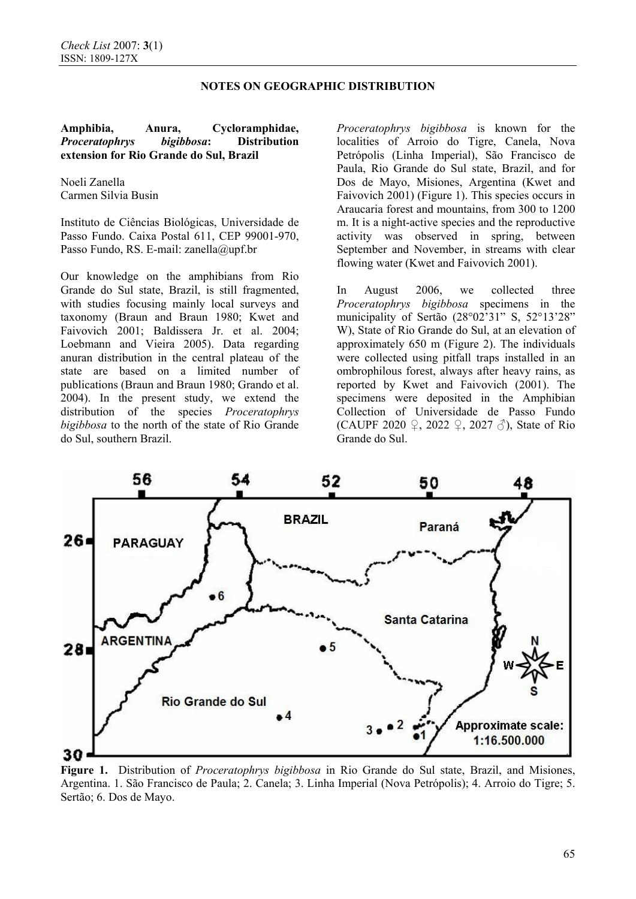## **NOTES ON GEOGRAPHIC DISTRIBUTION**

### **Amphibia, Anura, Cycloramphidae,** *Proceratophrys bigibbosa***: Distribution extension for Rio Grande do Sul, Brazil**

Noeli Zanella Carmen Silvia Busin

Instituto de Ciências Biológicas, Universidade de Passo Fundo. Caixa Postal 611, CEP 99001-970, Passo Fundo, RS. E-mail: zanella@upf.br

Our knowledge on the amphibians from Rio Grande do Sul state, Brazil, is still fragmented, with studies focusing mainly local surveys and taxonomy (Braun and Braun 1980; Kwet and Faivovich 2001; Baldissera Jr. et al. 2004; Loebmann and Vieira 2005). Data regarding anuran distribution in the central plateau of the state are based on a limited number of publications (Braun and Braun 1980; Grando et al. 2004). In the present study, we extend the distribution of the species *Proceratophrys bigibbosa* to the north of the state of Rio Grande do Sul, southern Brazil.

*Proceratophrys bigibbosa* is known for the localities of Arroio do Tigre, Canela, Nova Petrópolis (Linha Imperial), São Francisco de Paula, Rio Grande do Sul state, Brazil, and for Dos de Mayo, Misiones, Argentina (Kwet and Faivovich 2001) (Figure 1). This species occurs in Araucaria forest and mountains, from 300 to 1200 m. It is a night-active species and the reproductive activity was observed in spring, between September and November, in streams with clear flowing water (Kwet and Faivovich 2001).

In August 2006, we collected three *Proceratophrys bigibbosa* specimens in the municipality of Sertão (28°02'31" S, 52°13'28" W), State of Rio Grande do Sul, at an elevation of approximately 650 m (Figure 2). The individuals were collected using pitfall traps installed in an ombrophilous forest, always after heavy rains, as reported by Kwet and Faivovich (2001). The specimens were deposited in the Amphibian Collection of Universidade de Passo Fundo (CAUPF 2020  $\Omega$ , 2022  $\Omega$ , 2027  $\mathcal{S}$ ), State of Rio Grande do Sul.



**Figure 1.** Distribution of *Proceratophrys bigibbosa* in Rio Grande do Sul state, Brazil, and Misiones, Argentina. 1. São Francisco de Paula; 2. Canela; 3. Linha Imperial (Nova Petrópolis); 4. Arroio do Tigre; 5. Sertão; 6. Dos de Mayo.